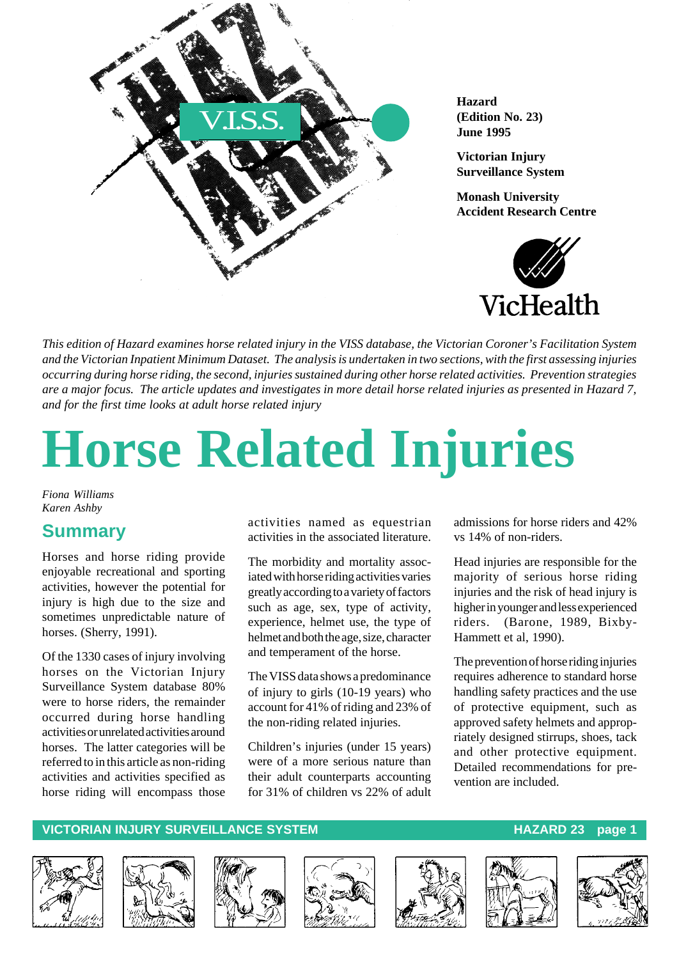

**Hazard (Edition No. 23) June 1995**

**Victorian Injury Surveillance System**

**Monash University Accident Research Centre**



*This edition of Hazard examines horse related injury in the VISS database, the Victorian Coroner's Facilitation System and the Victorian Inpatient Minimum Dataset. The analysis is undertaken in two sections, with the first assessing injuries occurring during horse riding, the second, injuries sustained during other horse related activities. Prevention strategies are a major focus. The article updates and investigates in more detail horse related injuries as presented in Hazard 7, and for the first time looks at adult horse related injury*

# **Horse Related Injuries**

*Fiona Williams Karen Ashby*

## **Summary**

Horses and horse riding provide enjoyable recreational and sporting activities, however the potential for injury is high due to the size and sometimes unpredictable nature of horses. (Sherry, 1991).

Of the 1330 cases of injury involving horses on the Victorian Injury Surveillance System database 80% were to horse riders, the remainder occurred during horse handling activities or unrelated activities around horses. The latter categories will be referred to in this article as non-riding activities and activities specified as horse riding will encompass those

activities named as equestrian activities in the associated literature.

The morbidity and mortality associated with horse riding activities varies greatly according to a variety of factors such as age, sex, type of activity, experience, helmet use, the type of helmet and both the age, size, character and temperament of the horse.

The VISS data shows a predominance of injury to girls (10-19 years) who account for 41% of riding and 23% of the non-riding related injuries.

Children's injuries (under 15 years) were of a more serious nature than their adult counterparts accounting for 31% of children vs 22% of adult

admissions for horse riders and 42% vs 14% of non-riders.

Head injuries are responsible for the majority of serious horse riding injuries and the risk of head injury is higher in younger and less experienced riders. (Barone, 1989, Bixby-Hammett et al, 1990).

The prevention of horse riding injuries requires adherence to standard horse handling safety practices and the use of protective equipment, such as approved safety helmets and appropriately designed stirrups, shoes, tack and other protective equipment. Detailed recommendations for prevention are included.

#### **VICTORIAN INJURY SURVEILLANCE SYSTEM AND READ READ TO HAZARD 23 page 1**











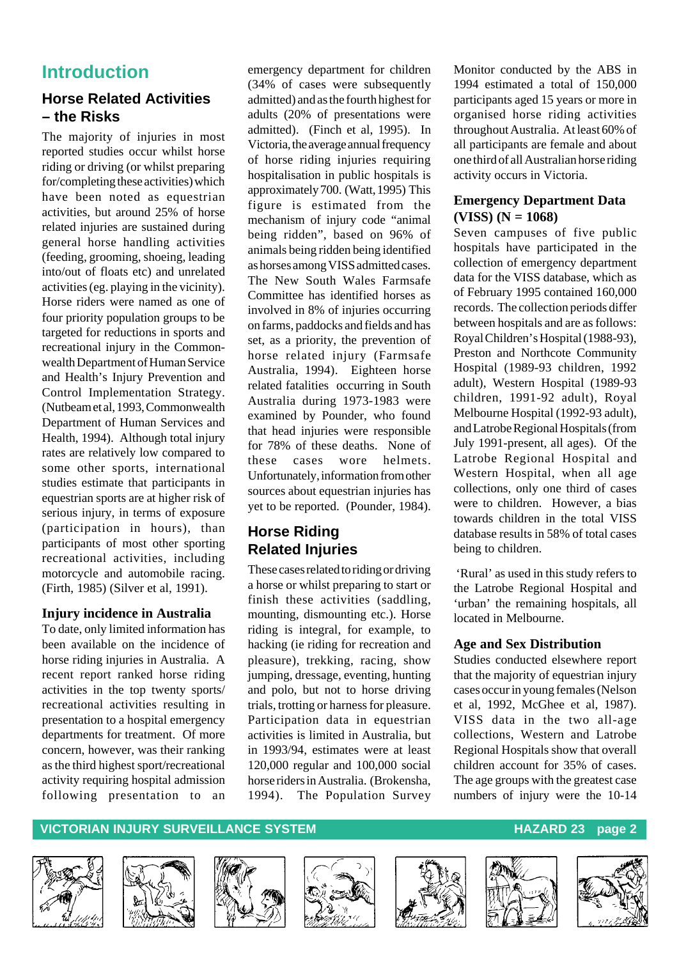# **Introduction**

### **Horse Related Activities – the Risks**

The majority of injuries in most reported studies occur whilst horse riding or driving (or whilst preparing for/completing these activities) which have been noted as equestrian activities, but around 25% of horse related injuries are sustained during general horse handling activities (feeding, grooming, shoeing, leading into/out of floats etc) and unrelated activities (eg. playing in the vicinity). Horse riders were named as one of four priority population groups to be targeted for reductions in sports and recreational injury in the Commonwealth Department of Human Service and Health's Injury Prevention and Control Implementation Strategy. (Nutbeam et al, 1993, Commonwealth Department of Human Services and Health, 1994). Although total injury rates are relatively low compared to some other sports, international studies estimate that participants in equestrian sports are at higher risk of serious injury, in terms of exposure (participation in hours), than participants of most other sporting recreational activities, including motorcycle and automobile racing. (Firth, 1985) (Silver et al, 1991).

#### **Injury incidence in Australia**

To date, only limited information has been available on the incidence of horse riding injuries in Australia. A recent report ranked horse riding activities in the top twenty sports/ recreational activities resulting in presentation to a hospital emergency departments for treatment. Of more concern, however, was their ranking as the third highest sport/recreational activity requiring hospital admission following presentation to an emergency department for children (34% of cases were subsequently admitted) and as the fourth highest for adults (20% of presentations were admitted). (Finch et al, 1995). In Victoria, the average annual frequency of horse riding injuries requiring hospitalisation in public hospitals is approximately 700. (Watt, 1995) This figure is estimated from the mechanism of injury code "animal being ridden", based on 96% of animals being ridden being identified as horses among VISS admitted cases. The New South Wales Farmsafe Committee has identified horses as involved in 8% of injuries occurring on farms, paddocks and fields and has set, as a priority, the prevention of horse related injury (Farmsafe Australia, 1994). Eighteen horse related fatalities occurring in South Australia during 1973-1983 were examined by Pounder, who found that head injuries were responsible for 78% of these deaths. None of these cases wore helmets. Unfortunately, information from other sources about equestrian injuries has yet to be reported. (Pounder, 1984).

## **Horse Riding Related Injuries**

These cases related to riding or driving a horse or whilst preparing to start or finish these activities (saddling, mounting, dismounting etc.). Horse riding is integral, for example, to hacking (ie riding for recreation and pleasure), trekking, racing, show jumping, dressage, eventing, hunting and polo, but not to horse driving trials, trotting or harness for pleasure. Participation data in equestrian activities is limited in Australia, but in 1993/94, estimates were at least 120,000 regular and 100,000 social horse riders in Australia. (Brokensha, 1994). The Population Survey Monitor conducted by the ABS in 1994 estimated a total of 150,000 participants aged 15 years or more in organised horse riding activities throughout Australia. At least 60% of all participants are female and about one third of all Australian horse riding activity occurs in Victoria.

#### **Emergency Department Data (VISS) (N = 1068)**

Seven campuses of five public hospitals have participated in the collection of emergency department data for the VISS database, which as of February 1995 contained 160,000 records. The collection periods differ between hospitals and are as follows: Royal Children's Hospital (1988-93), Preston and Northcote Community Hospital (1989-93 children, 1992 adult), Western Hospital (1989-93 children, 1991-92 adult), Royal Melbourne Hospital (1992-93 adult), and Latrobe Regional Hospitals (from July 1991-present, all ages). Of the Latrobe Regional Hospital and Western Hospital, when all age collections, only one third of cases were to children. However, a bias towards children in the total VISS database results in 58% of total cases being to children.

 'Rural' as used in this study refers to the Latrobe Regional Hospital and 'urban' the remaining hospitals, all located in Melbourne.

#### **Age and Sex Distribution**

Studies conducted elsewhere report that the majority of equestrian injury cases occur in young females (Nelson et al, 1992, McGhee et al, 1987). VISS data in the two all-age collections, Western and Latrobe Regional Hospitals show that overall children account for 35% of cases. The age groups with the greatest case numbers of injury were the 10-14













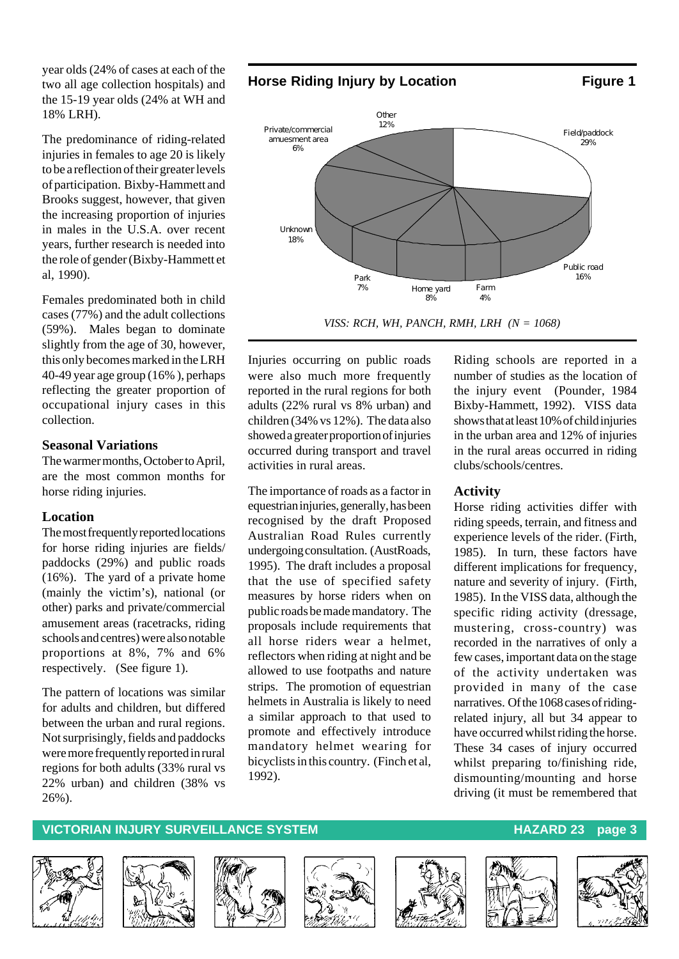year olds (24% of cases at each of the two all age collection hospitals) and the 15-19 year olds (24% at WH and 18% LRH).

The predominance of riding-related injuries in females to age 20 is likely to be a reflection of their greater levels of participation. Bixby-Hammett and Brooks suggest, however, that given the increasing proportion of injuries in males in the U.S.A. over recent years, further research is needed into the role of gender (Bixby-Hammett et al, 1990).

Females predominated both in child cases (77%) and the adult collections (59%). Males began to dominate slightly from the age of 30, however, this only becomes marked in the LRH 40-49 year age group (16% ), perhaps reflecting the greater proportion of occupational injury cases in this collection.

#### **Seasonal Variations**

The warmer months, October to April, are the most common months for horse riding injuries.

#### **Location**

The most frequently reported locations for horse riding injuries are fields/ paddocks (29%) and public roads (16%). The yard of a private home (mainly the victim's), national (or other) parks and private/commercial amusement areas (racetracks, riding schools and centres) were also notable proportions at 8%, 7% and 6% respectively. (See figure 1).

The pattern of locations was similar for adults and children, but differed between the urban and rural regions. Not surprisingly, fields and paddocks were more frequently reported in rural regions for both adults (33% rural vs 22% urban) and children (38% vs 26%).

**Horse Riding Injury by Location Figure 1** 





*VISS: RCH, WH, PANCH, RMH, LRH (N = 1068)*

Injuries occurring on public roads were also much more frequently reported in the rural regions for both adults (22% rural vs 8% urban) and children (34% vs 12%). The data also showed a greater proportion of injuries occurred during transport and travel activities in rural areas.

The importance of roads as a factor in equestrian injuries, generally, has been recognised by the draft Proposed Australian Road Rules currently undergoing consultation. (AustRoads, 1995). The draft includes a proposal that the use of specified safety measures by horse riders when on public roads be made mandatory. The proposals include requirements that all horse riders wear a helmet, reflectors when riding at night and be allowed to use footpaths and nature strips. The promotion of equestrian helmets in Australia is likely to need a similar approach to that used to promote and effectively introduce mandatory helmet wearing for bicyclists in this country. (Finch et al, 1992).

Riding schools are reported in a number of studies as the location of the injury event (Pounder, 1984 Bixby-Hammett, 1992). VISS data shows that at least 10% of child injuries in the urban area and 12% of injuries in the rural areas occurred in riding clubs/schools/centres.

#### **Activity**

Horse riding activities differ with riding speeds, terrain, and fitness and experience levels of the rider. (Firth, 1985). In turn, these factors have different implications for frequency, nature and severity of injury. (Firth, 1985). In the VISS data, although the specific riding activity (dressage, mustering, cross-country) was recorded in the narratives of only a few cases, important data on the stage of the activity undertaken was provided in many of the case narratives. Of the 1068 cases of ridingrelated injury, all but 34 appear to have occurred whilst riding the horse. These 34 cases of injury occurred whilst preparing to/finishing ride, dismounting/mounting and horse driving (it must be remembered that













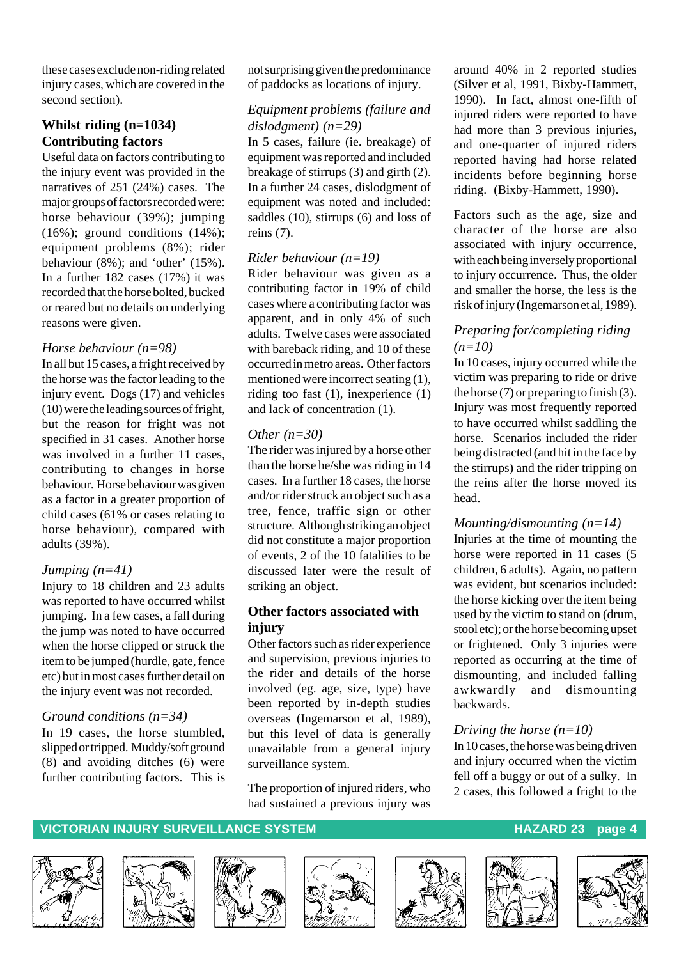these cases exclude non-riding related injury cases, which are covered in the second section).

#### **Whilst riding (n=1034) Contributing factors**

Useful data on factors contributing to the injury event was provided in the narratives of 251 (24%) cases. The major groups of factors recorded were: horse behaviour (39%); jumping  $(16\%)$ ; ground conditions  $(14\%)$ ; equipment problems (8%); rider behaviour (8%); and 'other' (15%). In a further 182 cases (17%) it was recorded that the horse bolted, bucked or reared but no details on underlying reasons were given.

#### *Horse behaviour (n=98)*

In all but 15 cases, a fright received by the horse was the factor leading to the injury event. Dogs (17) and vehicles (10) were the leading sources of fright, but the reason for fright was not specified in 31 cases. Another horse was involved in a further 11 cases, contributing to changes in horse behaviour. Horse behaviour was given as a factor in a greater proportion of child cases (61% or cases relating to horse behaviour), compared with adults (39%).

#### *Jumping (n=41)*

Injury to 18 children and 23 adults was reported to have occurred whilst jumping. In a few cases, a fall during the jump was noted to have occurred when the horse clipped or struck the item to be jumped (hurdle, gate, fence etc) but in most cases further detail on the injury event was not recorded.

#### *Ground conditions (n=34)*

In 19 cases, the horse stumbled, slipped or tripped. Muddy/soft ground (8) and avoiding ditches (6) were further contributing factors. This is not surprising given the predominance of paddocks as locations of injury.

#### *Equipment problems (failure and dislodgment) (n=29)*

In 5 cases, failure (ie. breakage) of equipment was reported and included breakage of stirrups (3) and girth (2). In a further 24 cases, dislodgment of equipment was noted and included: saddles (10), stirrups (6) and loss of reins (7).

#### *Rider behaviour (n=19)*

Rider behaviour was given as a contributing factor in 19% of child cases where a contributing factor was apparent, and in only 4% of such adults. Twelve cases were associated with bareback riding, and 10 of these occurred in metro areas. Other factors mentioned were incorrect seating (1), riding too fast (1), inexperience (1) and lack of concentration (1).

#### *Other (n=30)*

The rider was injured by a horse other than the horse he/she was riding in 14 cases. In a further 18 cases, the horse and/or rider struck an object such as a tree, fence, traffic sign or other structure. Although striking an object did not constitute a major proportion of events, 2 of the 10 fatalities to be discussed later were the result of striking an object.

#### **Other factors associated with injury**

Other factors such as rider experience and supervision, previous injuries to the rider and details of the horse involved (eg. age, size, type) have been reported by in-depth studies overseas (Ingemarson et al, 1989), but this level of data is generally unavailable from a general injury surveillance system.

The proportion of injured riders, who had sustained a previous injury was

around 40% in 2 reported studies (Silver et al, 1991, Bixby-Hammett, 1990). In fact, almost one-fifth of injured riders were reported to have had more than 3 previous injuries, and one-quarter of injured riders reported having had horse related incidents before beginning horse riding. (Bixby-Hammett, 1990).

Factors such as the age, size and character of the horse are also associated with injury occurrence, with each being inversely proportional to injury occurrence. Thus, the older and smaller the horse, the less is the risk of injury (Ingemarson et al, 1989).

#### *Preparing for/completing riding (n=10)*

In 10 cases, injury occurred while the victim was preparing to ride or drive the horse  $(7)$  or preparing to finish  $(3)$ . Injury was most frequently reported to have occurred whilst saddling the horse. Scenarios included the rider being distracted (and hit in the face by the stirrups) and the rider tripping on the reins after the horse moved its head.

#### *Mounting/dismounting (n=14)*

Injuries at the time of mounting the horse were reported in 11 cases (5 children, 6 adults). Again, no pattern was evident, but scenarios included: the horse kicking over the item being used by the victim to stand on (drum, stool etc); or the horse becoming upset or frightened. Only 3 injuries were reported as occurring at the time of dismounting, and included falling awkwardly and dismounting backwards.

#### *Driving the horse (n=10)*

In 10 cases, the horse was being driven and injury occurred when the victim fell off a buggy or out of a sulky. In 2 cases, this followed a fright to the













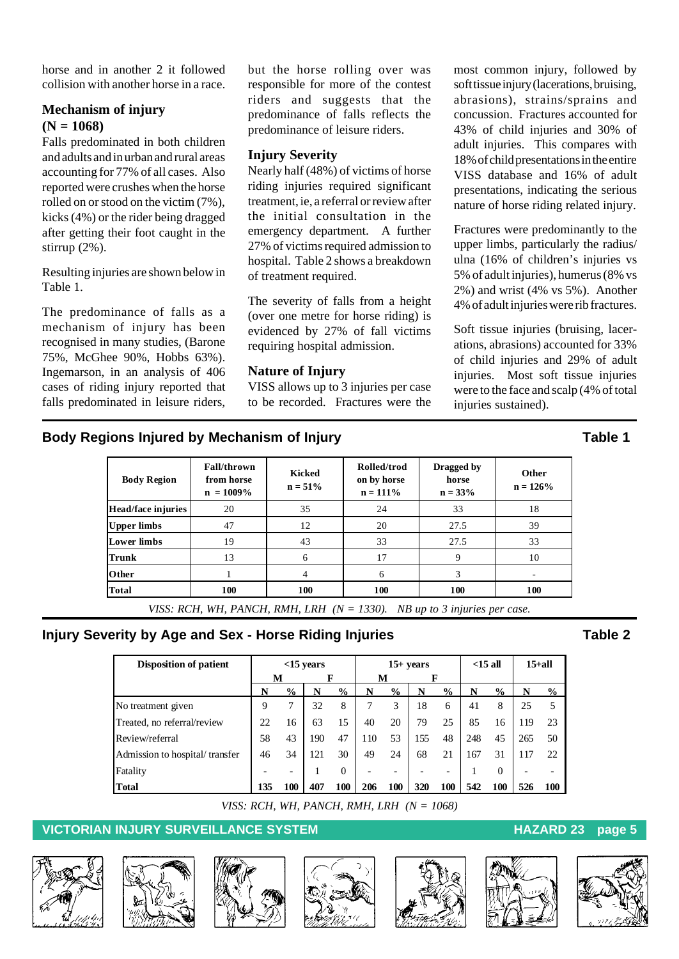horse and in another 2 it followed collision with another horse in a race.

### **Mechanism of injury (N = 1068)**

Falls predominated in both children and adults and in urban and rural areas accounting for 77% of all cases. Also reported were crushes when the horse rolled on or stood on the victim (7%), kicks (4%) or the rider being dragged after getting their foot caught in the stirrup (2%).

Resulting injuries are shown below in Table 1.

The predominance of falls as a mechanism of injury has been recognised in many studies, (Barone 75%, McGhee 90%, Hobbs 63%). Ingemarson, in an analysis of 406 cases of riding injury reported that falls predominated in leisure riders,

but the horse rolling over was responsible for more of the contest riders and suggests that the predominance of falls reflects the predominance of leisure riders.

#### **Injury Severity**

Nearly half (48%) of victims of horse riding injuries required significant treatment, ie, a referral or review after the initial consultation in the emergency department. A further 27% of victims required admission to hospital. Table 2 shows a breakdown of treatment required.

The severity of falls from a height (over one metre for horse riding) is evidenced by 27% of fall victims requiring hospital admission.

#### **Nature of Injury**

VISS allows up to 3 injuries per case to be recorded. Fractures were the most common injury, followed by soft tissue injury (lacerations, bruising, abrasions), strains/sprains and concussion. Fractures accounted for 43% of child injuries and 30% of adult injuries. This compares with 18% of child presentations in the entire VISS database and 16% of adult presentations, indicating the serious nature of horse riding related injury.

Fractures were predominantly to the upper limbs, particularly the radius/ ulna (16% of children's injuries vs 5% of adult injuries), humerus (8% vs 2%) and wrist (4% vs 5%). Another 4% of adult injuries were rib fractures.

Soft tissue injuries (bruising, lacerations, abrasions) accounted for 33% of child injuries and 29% of adult injuries. Most soft tissue injuries were to the face and scalp (4% of total injuries sustained).

### **Body Regions Injured by Mechanism of Injury Construction Construction Cable 1**

| <b>Body Region</b> | <b>Fall/thrown</b><br>from horse<br>$n = 1009\%$ | Kicked<br>$n = 51\%$ | Rolled/trod<br>on by horse<br>$n = 111\%$ | Dragged by<br>horse<br>$n = 33%$ | Other<br>$n = 126%$ |
|--------------------|--------------------------------------------------|----------------------|-------------------------------------------|----------------------------------|---------------------|
| Head/face injuries | 20                                               | 35                   | 24                                        | 33                               | 18                  |
| <b>Upper limbs</b> | 47                                               | 12                   | 20                                        | 27.5                             | 39                  |
| <b>Lower limbs</b> | 19                                               | 43                   | 33                                        | 27.5                             | 33                  |
| <b>Trunk</b>       | 13                                               | 6                    | 17                                        | 9                                | 10                  |
| Other              |                                                  | 4                    | 6                                         | 3                                |                     |
|                    | 100                                              | 100                  | 100                                       | 100                              | <b>100</b>          |
| <b>Total</b>       | UICC DOU WILL DIMOU DIJULI DIL AL                |                      | 12201                                     |                                  |                     |

*VISS: RCH, WH, PANCH, RMH, LRH (N = 1330). NB up to 3 injuries per case.*

### **Injury Severity by Age and Sex - Horse Riding Injuries Table 2** Table 2

| <b>Disposition of patient</b>  | $<$ 15 vears |                          |     | $15+ years$   |     |                          | $<$ 15 all |               | $15+$ all |                |     |               |
|--------------------------------|--------------|--------------------------|-----|---------------|-----|--------------------------|------------|---------------|-----------|----------------|-----|---------------|
|                                | M            |                          |     |               |     | М                        | F          |               |           |                |     |               |
|                                | N            | $\frac{1}{2}$            |     | $\frac{0}{0}$ | N   | $\frac{6}{9}$            | N          | $\frac{0}{0}$ | N         | $\frac{6}{10}$ | N   | $\frac{0}{0}$ |
| No treatment given             | 9            | 7                        | 32  | 8             | 7   | 3                        | 18         | 6             | 41        | 8              | 25  | 5             |
| Treated, no referral/review    | 22           | 16                       | 63  | 15            | 40  | 20                       | 79         | 25            | 85        | 16             | 119 | 23            |
| Review/referral                | 58           | 43                       | 190 | 47            | 110 | 53                       | 155        | 48            | 248       | 45             | 265 | 50            |
| Admission to hospital/transfer | 46           | 34                       | 121 | 30            | 49  | 24                       | 68         | 21            | 167       | 31             | 117 | 22            |
| Fatality                       |              | $\overline{\phantom{0}}$ |     | $\Omega$      |     | $\overline{\phantom{0}}$ |            |               |           | $\Omega$       |     |               |
| <b>Total</b>                   | 135          | 100                      | 407 | 100           | 206 | 100                      | 320        | 100           | 542       | 100            | 526 | 100           |

*VISS: RCH, WH, PANCH, RMH, LRH (N = 1068)*













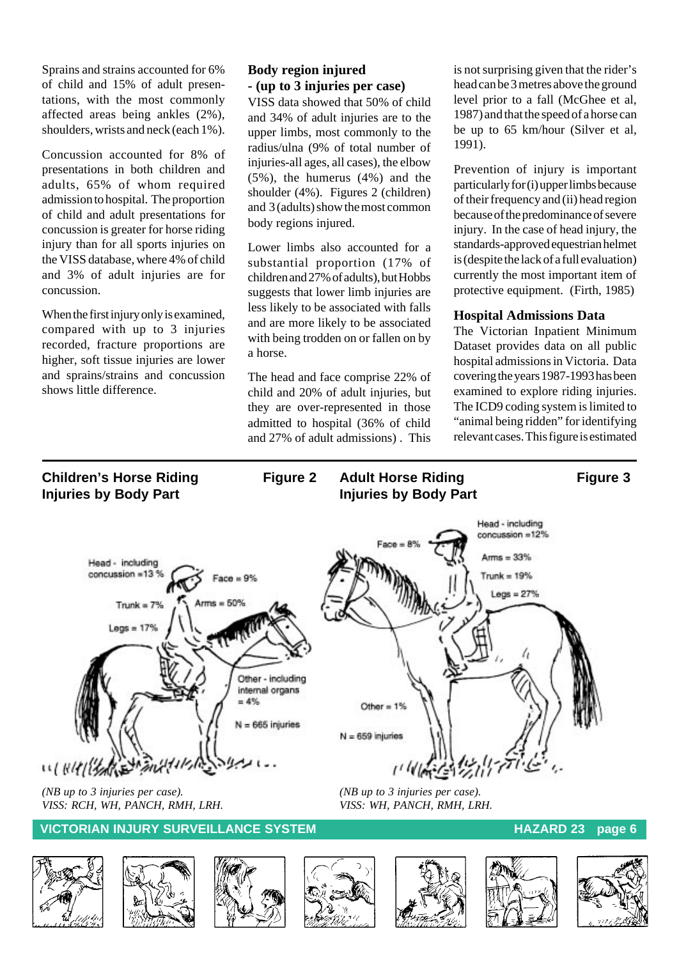Sprains and strains accounted for 6% of child and 15% of adult presentations, with the most commonly affected areas being ankles (2%), shoulders, wrists and neck (each 1%).

Concussion accounted for 8% of presentations in both children and adults, 65% of whom required admission to hospital. The proportion of child and adult presentations for concussion is greater for horse riding injury than for all sports injuries on the VISS database, where 4% of child and 3% of adult injuries are for concussion.

When the first injury only is examined, compared with up to 3 injuries recorded, fracture proportions are higher, soft tissue injuries are lower and sprains/strains and concussion shows little difference.

#### **Body region injured - (up to 3 injuries per case)**

VISS data showed that 50% of child and 34% of adult injuries are to the upper limbs, most commonly to the radius/ulna (9% of total number of injuries-all ages, all cases), the elbow (5%), the humerus (4%) and the shoulder (4%). Figures 2 (children) and 3 (adults) show the most common body regions injured.

Lower limbs also accounted for a substantial proportion (17% of children and 27% of adults), but Hobbs suggests that lower limb injuries are less likely to be associated with falls and are more likely to be associated with being trodden on or fallen on by a horse.

The head and face comprise 22% of child and 20% of adult injuries, but they are over-represented in those admitted to hospital (36% of child and 27% of adult admissions) . This

is not surprising given that the rider's head can be 3 metres above the ground level prior to a fall (McGhee et al, 1987) and that the speed of a horse can be up to 65 km/hour (Silver et al, 1991).

Prevention of injury is important particularly for (i) upper limbs because of their frequency and (ii) head region because of the predominance of severe injury. In the case of head injury, the standards-approved equestrian helmet is (despite the lack of a full evaluation) currently the most important item of protective equipment. (Firth, 1985)

#### **Hospital Admissions Data**

The Victorian Inpatient Minimum Dataset provides data on all public hospital admissions in Victoria. Data covering the years 1987-1993 has been examined to explore riding injuries. The ICD9 coding system is limited to "animal being ridden" for identifying relevant cases. This figure is estimated

#### **Children's Horse Riding Figure 2** Adult Horse Riding **Figure 3 Injuries by Body Part Injuries by Body Part** Head - including  $concussion = 12%$  $Arms = 33%$ Head - including concussion =13 % Trunk =  $19%$  $Face = 9%$  $Legs = 27%$  $Tnumk = 7%$  $Leas = 17%$ Other - including internal organs  $=4%$ Other =  $1\%$  $= 665$  injuries  $N = 659$  injuries WINHILARE MAN *(NB up to 3 injuries per case). (NB up to 3 injuries per case). VISS: RCH, WH, PANCH, RMH, LRH. VISS: WH, PANCH, RMH, LRH.* **VICTORIAN INJURY SURVEILLANCE SYSTEM HAZARD 23** page 6













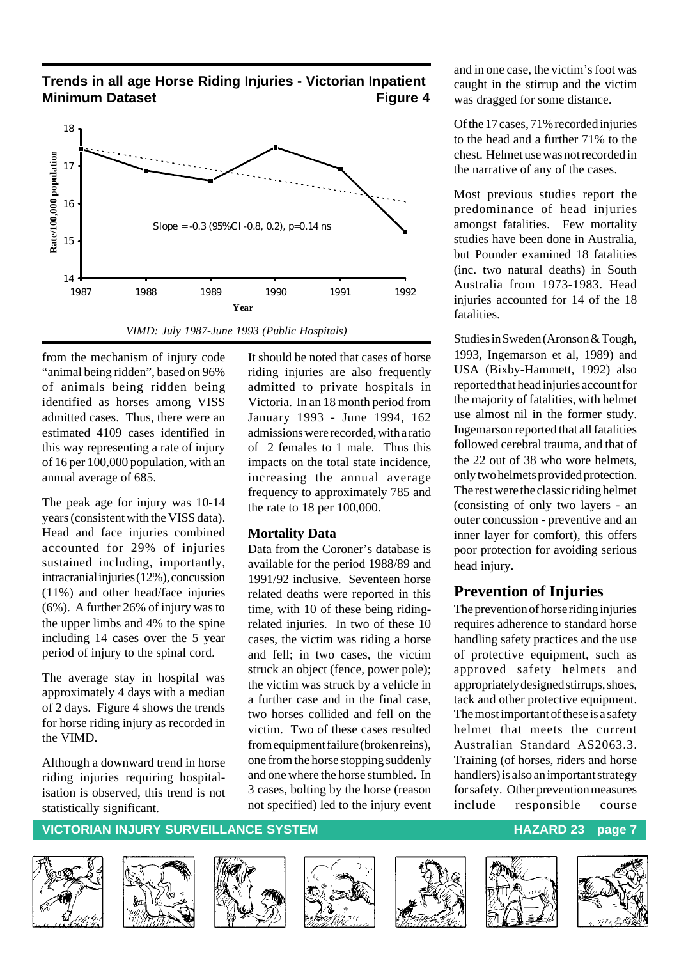#### **Trends in all age Horse Riding Injuries - Victorian Inpatient Minimum Dataset Construction Construction Construction Construction Construction Construction Construction Construction Construction Construction Construction Construction Construction Construction Construction Constructi**



*VIMD: July 1987-June 1993 (Public Hospitals)*

from the mechanism of injury code "animal being ridden", based on 96% of animals being ridden being identified as horses among VISS admitted cases. Thus, there were an estimated 4109 cases identified in this way representing a rate of injury of 16 per 100,000 population, with an annual average of 685.

The peak age for injury was 10-14 years (consistent with the VISS data). Head and face injuries combined accounted for 29% of injuries sustained including, importantly, intracranial injuries (12%), concussion (11%) and other head/face injuries (6%). A further 26% of injury was to the upper limbs and 4% to the spine including 14 cases over the 5 year period of injury to the spinal cord.

The average stay in hospital was approximately 4 days with a median of 2 days. Figure 4 shows the trends for horse riding injury as recorded in the VIMD.

Although a downward trend in horse riding injuries requiring hospitalisation is observed, this trend is not statistically significant.

It should be noted that cases of horse riding injuries are also frequently admitted to private hospitals in Victoria. In an 18 month period from January 1993 - June 1994, 162 admissions were recorded, with a ratio of 2 females to 1 male. Thus this impacts on the total state incidence, increasing the annual average frequency to approximately 785 and the rate to 18 per 100,000.

#### **Mortality Data**

Data from the Coroner's database is available for the period 1988/89 and 1991/92 inclusive. Seventeen horse related deaths were reported in this time, with 10 of these being ridingrelated injuries. In two of these 10 cases, the victim was riding a horse and fell; in two cases, the victim struck an object (fence, power pole); the victim was struck by a vehicle in a further case and in the final case, two horses collided and fell on the victim. Two of these cases resulted from equipment failure (broken reins), one from the horse stopping suddenly and one where the horse stumbled. In 3 cases, bolting by the horse (reason not specified) led to the injury event and in one case, the victim's foot was caught in the stirrup and the victim was dragged for some distance.

Of the 17 cases, 71% recorded injuries to the head and a further 71% to the chest. Helmet use was not recorded in the narrative of any of the cases.

Most previous studies report the predominance of head injuries amongst fatalities. Few mortality studies have been done in Australia, but Pounder examined 18 fatalities (inc. two natural deaths) in South Australia from 1973-1983. Head injuries accounted for 14 of the 18 fatalities.

Studies in Sweden (Aronson & Tough, 1993, Ingemarson et al, 1989) and USA (Bixby-Hammett, 1992) also reported that head injuries account for the majority of fatalities, with helmet use almost nil in the former study. Ingemarson reported that all fatalities followed cerebral trauma, and that of the 22 out of 38 who wore helmets, only two helmets provided protection. The rest were the classic riding helmet (consisting of only two layers - an outer concussion - preventive and an inner layer for comfort), this offers poor protection for avoiding serious head injury.

## **Prevention of Injuries**

The prevention of horse riding injuries requires adherence to standard horse handling safety practices and the use of protective equipment, such as approved safety helmets and appropriately designed stirrups, shoes, tack and other protective equipment. The most important of these is a safety helmet that meets the current Australian Standard AS2063.3. Training (of horses, riders and horse handlers) is also an important strategy for safety. Other prevention measures include responsible course











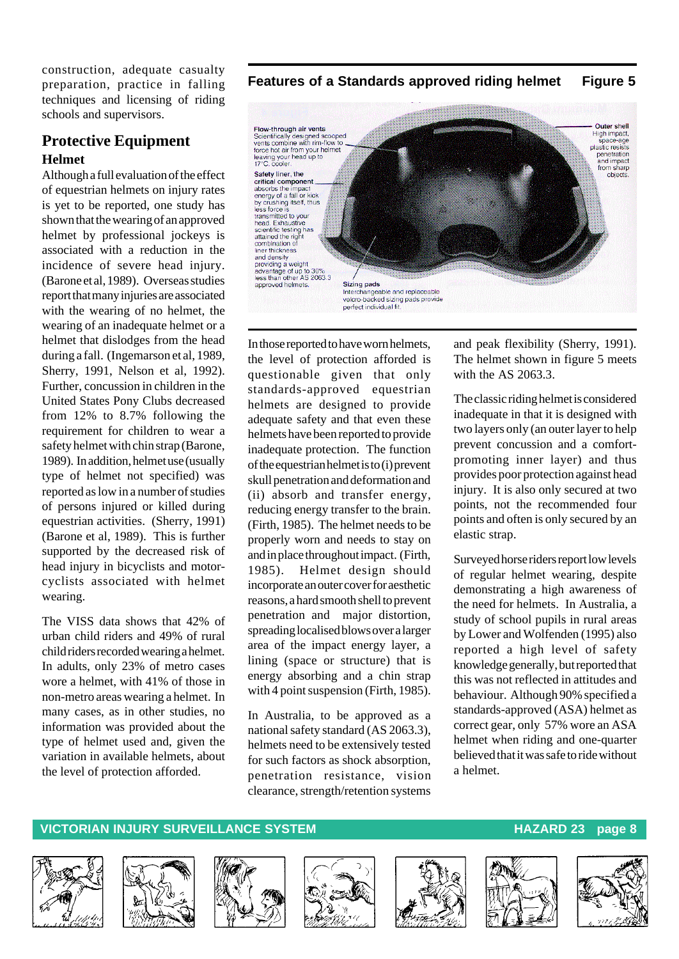construction, adequate casualty preparation, practice in falling techniques and licensing of riding schools and supervisors.

## **Protective Equipment Helmet**

Although a full evaluation of the effect of equestrian helmets on injury rates is yet to be reported, one study has shown that the wearing of an approved helmet by professional jockeys is associated with a reduction in the incidence of severe head injury. (Barone et al, 1989). Overseas studies report that many injuries are associated with the wearing of no helmet, the wearing of an inadequate helmet or a helmet that dislodges from the head during a fall. (Ingemarson et al, 1989, Sherry, 1991, Nelson et al, 1992). Further, concussion in children in the United States Pony Clubs decreased from 12% to 8.7% following the requirement for children to wear a safety helmet with chin strap (Barone, 1989). In addition, helmet use (usually type of helmet not specified) was reported as low in a number of studies of persons injured or killed during equestrian activities. (Sherry, 1991) (Barone et al, 1989). This is further supported by the decreased risk of head injury in bicyclists and motorcyclists associated with helmet wearing.

The VISS data shows that 42% of urban child riders and 49% of rural child riders recorded wearing a helmet. In adults, only 23% of metro cases wore a helmet, with 41% of those in non-metro areas wearing a helmet. In many cases, as in other studies, no information was provided about the type of helmet used and, given the variation in available helmets, about the level of protection afforded.

**Features of a Standards approved riding helmet Figure 5**



In those reported to have worn helmets, the level of protection afforded is questionable given that only standards-approved equestrian helmets are designed to provide adequate safety and that even these helmets have been reported to provide inadequate protection. The function of the equestrian helmet is to (i) prevent skull penetration and deformation and (ii) absorb and transfer energy, reducing energy transfer to the brain. (Firth, 1985). The helmet needs to be properly worn and needs to stay on and in place throughout impact. (Firth, 1985). Helmet design should incorporate an outer cover for aesthetic reasons, a hard smooth shell to prevent penetration and major distortion, spreading localised blows over a larger area of the impact energy layer, a lining (space or structure) that is energy absorbing and a chin strap with 4 point suspension (Firth, 1985).

In Australia, to be approved as a national safety standard (AS 2063.3), helmets need to be extensively tested for such factors as shock absorption, penetration resistance, vision clearance, strength/retention systems and peak flexibility (Sherry, 1991). The helmet shown in figure 5 meets with the AS 2063.3.

The classic riding helmet is considered inadequate in that it is designed with two layers only (an outer layer to help prevent concussion and a comfortpromoting inner layer) and thus provides poor protection against head injury. It is also only secured at two points, not the recommended four points and often is only secured by an elastic strap.

Surveyed horse riders report low levels of regular helmet wearing, despite demonstrating a high awareness of the need for helmets. In Australia, a study of school pupils in rural areas by Lower and Wolfenden (1995) also reported a high level of safety knowledge generally, but reported that this was not reflected in attitudes and behaviour. Although 90% specified a standards-approved (ASA) helmet as correct gear, only 57% wore an ASA helmet when riding and one-quarter believed that it was safe to ride without a helmet.













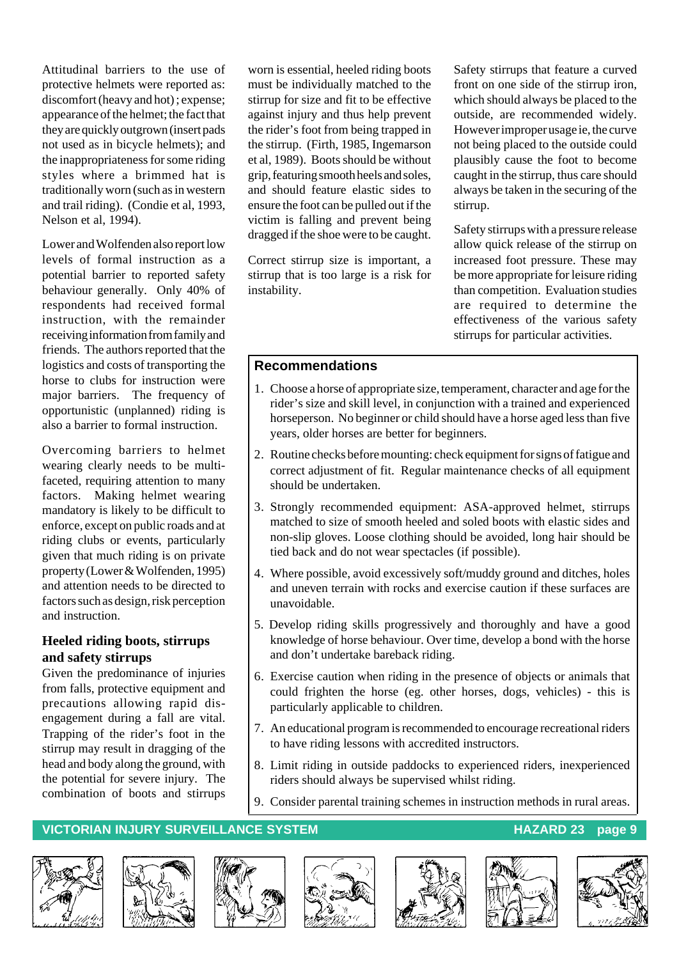Attitudinal barriers to the use of protective helmets were reported as: discomfort (heavy and hot) ; expense; appearance of the helmet; the fact that they are quickly outgrown (insert pads not used as in bicycle helmets); and the inappropriateness for some riding styles where a brimmed hat is traditionally worn (such as in western and trail riding). (Condie et al, 1993, Nelson et al, 1994).

Lower and Wolfenden also report low levels of formal instruction as a potential barrier to reported safety behaviour generally. Only 40% of respondents had received formal instruction, with the remainder receiving information from family and friends. The authors reported that the logistics and costs of transporting the horse to clubs for instruction were major barriers. The frequency of opportunistic (unplanned) riding is also a barrier to formal instruction.

Overcoming barriers to helmet wearing clearly needs to be multifaceted, requiring attention to many factors. Making helmet wearing mandatory is likely to be difficult to enforce, except on public roads and at riding clubs or events, particularly given that much riding is on private property (Lower & Wolfenden, 1995) and attention needs to be directed to factors such as design, risk perception and instruction.

#### **Heeled riding boots, stirrups and safety stirrups**

Given the predominance of injuries from falls, protective equipment and precautions allowing rapid disengagement during a fall are vital. Trapping of the rider's foot in the stirrup may result in dragging of the head and body along the ground, with the potential for severe injury. The combination of boots and stirrups

worn is essential, heeled riding boots must be individually matched to the stirrup for size and fit to be effective against injury and thus help prevent the rider's foot from being trapped in the stirrup. (Firth, 1985, Ingemarson et al, 1989). Boots should be without grip, featuring smooth heels and soles, and should feature elastic sides to ensure the foot can be pulled out if the victim is falling and prevent being dragged if the shoe were to be caught.

Correct stirrup size is important, a stirrup that is too large is a risk for instability.

Safety stirrups that feature a curved front on one side of the stirrup iron, which should always be placed to the outside, are recommended widely. However improper usage ie, the curve not being placed to the outside could plausibly cause the foot to become caught in the stirrup, thus care should always be taken in the securing of the stirrup.

Safety stirrups with a pressure release allow quick release of the stirrup on increased foot pressure. These may be more appropriate for leisure riding than competition. Evaluation studies are required to determine the effectiveness of the various safety stirrups for particular activities.

#### **Recommendations**

- 1. Choose a horse of appropriate size, temperament, character and age for the rider's size and skill level, in conjunction with a trained and experienced horseperson. No beginner or child should have a horse aged less than five years, older horses are better for beginners.
- 2. Routine checks before mounting: check equipment for signs of fatigue and correct adjustment of fit. Regular maintenance checks of all equipment should be undertaken.
- 3. Strongly recommended equipment: ASA-approved helmet, stirrups matched to size of smooth heeled and soled boots with elastic sides and non-slip gloves. Loose clothing should be avoided, long hair should be tied back and do not wear spectacles (if possible).
- 4. Where possible, avoid excessively soft/muddy ground and ditches, holes and uneven terrain with rocks and exercise caution if these surfaces are unavoidable.
- 5. Develop riding skills progressively and thoroughly and have a good knowledge of horse behaviour. Over time, develop a bond with the horse and don't undertake bareback riding.
- 6. Exercise caution when riding in the presence of objects or animals that could frighten the horse (eg. other horses, dogs, vehicles) - this is particularly applicable to children.
- 7. An educational program is recommended to encourage recreational riders to have riding lessons with accredited instructors.
- 8. Limit riding in outside paddocks to experienced riders, inexperienced riders should always be supervised whilst riding.
- 9. Consider parental training schemes in instruction methods in rural areas.

#### **VICTORIAN INJURY SURVEILLANCE SYSTEM AND REALLY CONTROLLY CONTROLLY AND REALLY CONTROLLY CONTROLLY AND REALLY CONTROLLY AND REALLY AND REALLY CONTROLLY AND REALLY AND REALLY AND REALLY AND REALLY AND REALLY AND REALLY AND**













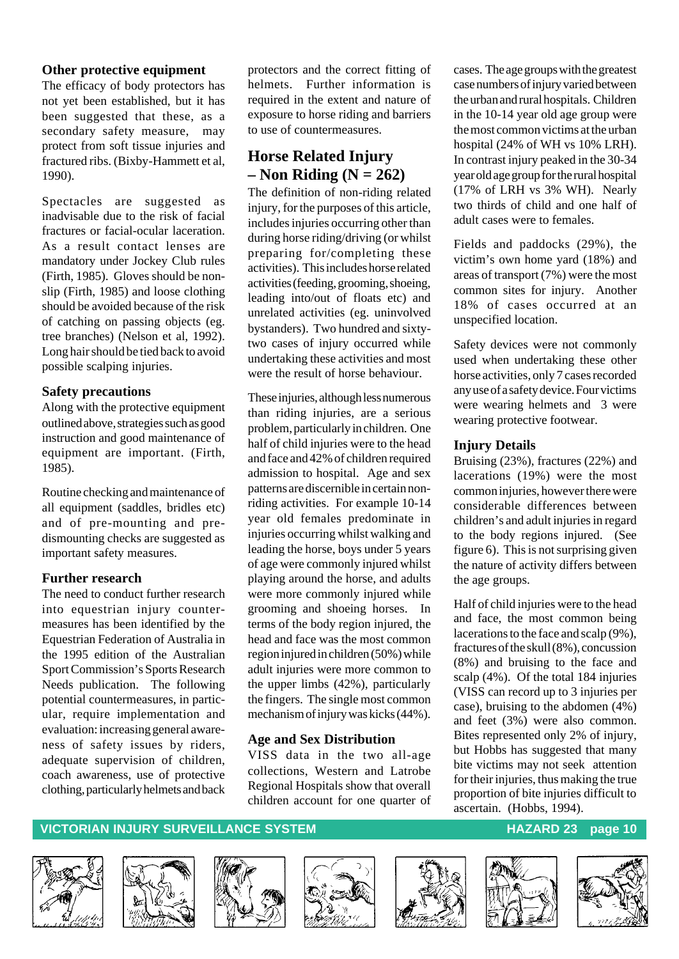#### **Other protective equipment**

The efficacy of body protectors has not yet been established, but it has been suggested that these, as a secondary safety measure, may protect from soft tissue injuries and fractured ribs. (Bixby-Hammett et al, 1990).

Spectacles are suggested as inadvisable due to the risk of facial fractures or facial-ocular laceration. As a result contact lenses are mandatory under Jockey Club rules (Firth, 1985). Gloves should be nonslip (Firth, 1985) and loose clothing should be avoided because of the risk of catching on passing objects (eg. tree branches) (Nelson et al, 1992). Long hair should be tied back to avoid possible scalping injuries.

#### **Safety precautions**

Along with the protective equipment outlined above, strategies such as good instruction and good maintenance of equipment are important. (Firth, 1985).

Routine checking and maintenance of all equipment (saddles, bridles etc) and of pre-mounting and predismounting checks are suggested as important safety measures.

#### **Further research**

The need to conduct further research into equestrian injury countermeasures has been identified by the Equestrian Federation of Australia in the 1995 edition of the Australian Sport Commission's Sports Research Needs publication. The following potential countermeasures, in particular, require implementation and evaluation: increasing general awareness of safety issues by riders, adequate supervision of children, coach awareness, use of protective clothing, particularly helmets and back protectors and the correct fitting of helmets. Further information is required in the extent and nature of exposure to horse riding and barriers to use of countermeasures.

## **Horse Related Injury – Non Riding (N = 262)**

The definition of non-riding related injury, for the purposes of this article, includes injuries occurring other than during horse riding/driving (or whilst preparing for/completing these activities). This includes horse related activities (feeding, grooming, shoeing, leading into/out of floats etc) and unrelated activities (eg. uninvolved bystanders). Two hundred and sixtytwo cases of injury occurred while undertaking these activities and most were the result of horse behaviour.

These injuries, although less numerous than riding injuries, are a serious problem, particularly in children. One half of child injuries were to the head and face and 42% of children required admission to hospital. Age and sex patterns are discernible in certain nonriding activities. For example 10-14 year old females predominate in injuries occurring whilst walking and leading the horse, boys under 5 years of age were commonly injured whilst playing around the horse, and adults were more commonly injured while grooming and shoeing horses. In terms of the body region injured, the head and face was the most common region injured in children (50%) while adult injuries were more common to the upper limbs (42%), particularly the fingers. The single most common mechanism of injury was kicks (44%).

#### **Age and Sex Distribution**

VISS data in the two all-age collections, Western and Latrobe Regional Hospitals show that overall children account for one quarter of

cases. The age groups with the greatest case numbers of injury varied between the urban and rural hospitals. Children in the 10-14 year old age group were the most common victims at the urban hospital (24% of WH vs 10% LRH). In contrast injury peaked in the 30-34 year old age group for the rural hospital (17% of LRH vs 3% WH). Nearly two thirds of child and one half of adult cases were to females.

Fields and paddocks (29%), the victim's own home yard (18%) and areas of transport (7%) were the most common sites for injury. Another 18% of cases occurred at an unspecified location.

Safety devices were not commonly used when undertaking these other horse activities, only 7 cases recorded any use of a safety device. Four victims were wearing helmets and 3 were wearing protective footwear.

#### **Injury Details**

Bruising (23%), fractures (22%) and lacerations (19%) were the most common injuries, however there were considerable differences between children's and adult injuries in regard to the body regions injured. (See figure 6). This is not surprising given the nature of activity differs between the age groups.

Half of child injuries were to the head and face, the most common being lacerations to the face and scalp (9%), fractures of the skull (8%), concussion (8%) and bruising to the face and scalp (4%). Of the total 184 injuries (VISS can record up to 3 injuries per case), bruising to the abdomen (4%) and feet (3%) were also common. Bites represented only 2% of injury, but Hobbs has suggested that many bite victims may not seek attention for their injuries, thus making the true proportion of bite injuries difficult to ascertain. (Hobbs, 1994).













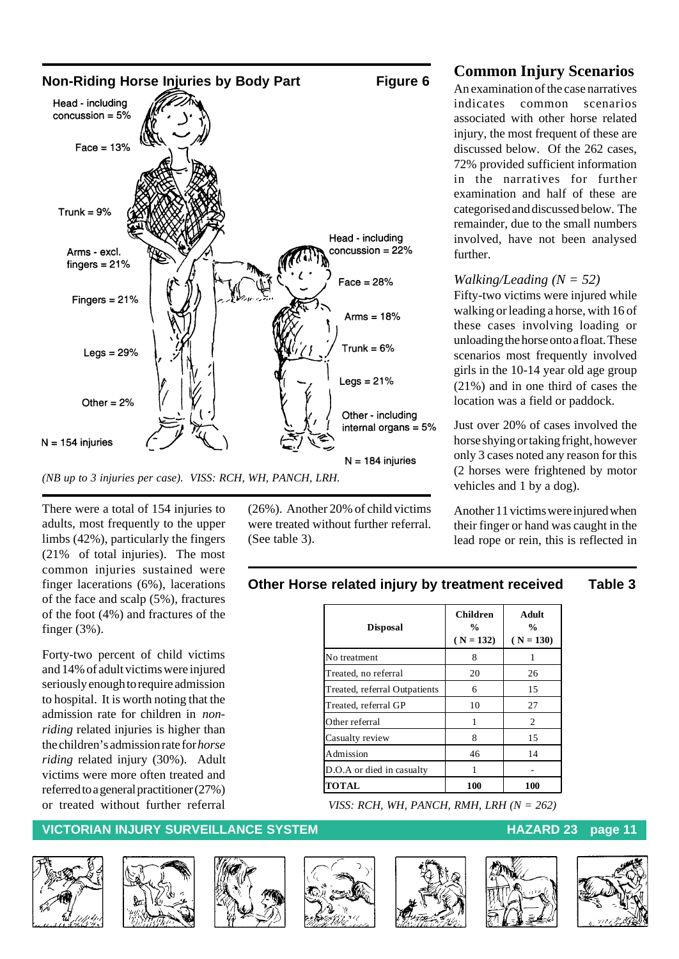

There were a total of 154 injuries to adults, most frequently to the upper limbs (42%), particularly the fingers (21% of total injuries). The most common injuries sustained were finger lacerations (6%), lacerations of the face and scalp (5%), fractures of the foot (4%) and fractures of the finger (3%).

Forty-two percent of child victims and 14% of adult victims were injured seriously enough to require admission to hospital. It is worth noting that the admission rate for children in *nonriding* related injuries is higher than the children's admission rate for *horse riding* related injury (30%). Adult victims were more often treated and referred to a general practitioner (27%) or treated without further referral

#### **VICTORIAN INJURY SURVEILLANCE SYSTEM AND REALLY CONTROLLY CONTROLLY AND REALLY CONTROLLY CONTROLLY AND REALLY CONTROLLY AND REALLY AND REALLY CONTROLLY A PAGE 11**









(26%). Another 20% of child victims were treated without further referral.

(See table 3).







#### **Common Injury Scenarios**

An examination of the case narratives indicates common scenarios associated with other horse related injury, the most frequent of these are discussed below. Of the 262 cases, 72% provided sufficient information in the narratives for further examination and half of these are categorised and discussed below. The remainder, due to the small numbers involved, have not been analysed further.

#### *Walking/Leading (N = 52)*

Fifty-two victims were injured while walking or leading a horse, with 16 of these cases involving loading or unloading the horse onto a float. These scenarios most frequently involved girls in the 10-14 year old age group (21%) and in one third of cases the location was a field or paddock.

Just over 20% of cases involved the horse shying or taking fright, however only 3 cases noted any reason for this (2 horses were frightened by motor vehicles and 1 by a dog).

Another 11 victims were injured when their finger or hand was caught in the lead rope or rein, this is reflected in

#### **Other Horse related injury by treatment received Table 3**

| <b>Disposal</b>               | <b>Children</b><br>$\frac{0}{0}$<br>$(N = 132)$ | Adult<br>$\frac{0}{0}$<br>$(N = 130)$ |
|-------------------------------|-------------------------------------------------|---------------------------------------|
| No treatment                  | 8                                               | 1                                     |
| Treated, no referral          | 20                                              | 26                                    |
| Treated, referral Outpatients | 6                                               | 15                                    |
| Treated, referral GP          | 10                                              | 27                                    |
| Other referral                | 1                                               | 2                                     |
| Casualty review               | 8                                               | 15                                    |
| Admission                     | 46                                              | 14                                    |
| D.O.A or died in casualty     |                                                 |                                       |
| <b>TOTAL</b>                  | 100                                             | 100                                   |

*VISS: RCH, WH, PANCH, RMH, LRH (N = 262)*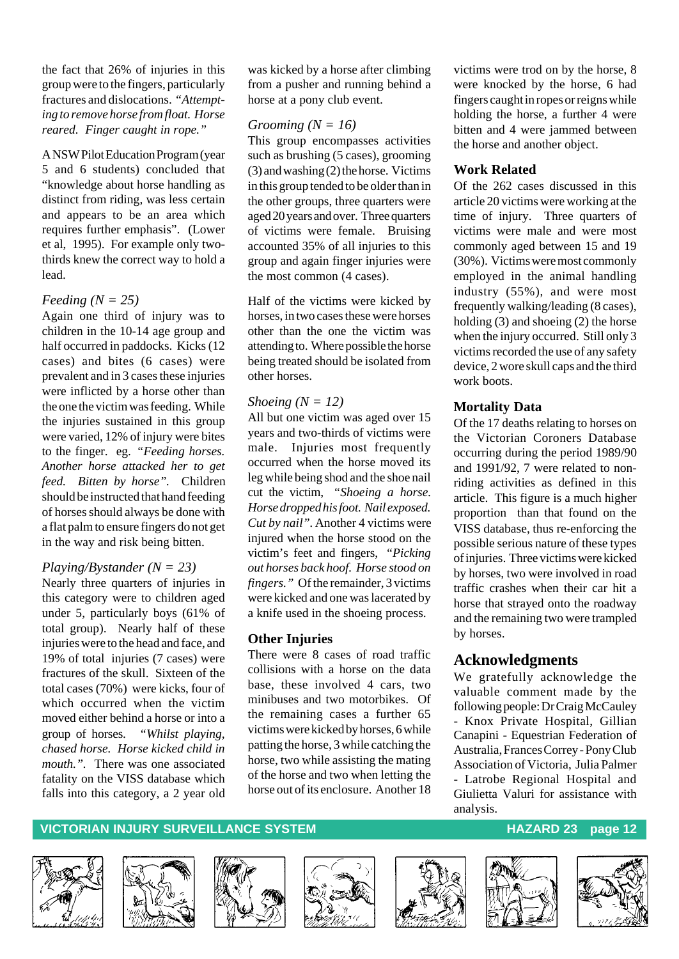the fact that 26% of injuries in this group were to the fingers, particularly fractures and dislocations. *"Attempting to remove horse from float. Horse reared. Finger caught in rope."*

A NSW Pilot Education Program (year 5 and 6 students) concluded that "knowledge about horse handling as distinct from riding, was less certain and appears to be an area which requires further emphasis". (Lower et al, 1995). For example only twothirds knew the correct way to hold a lead.

#### *Feeding (N = 25)*

Again one third of injury was to children in the 10-14 age group and half occurred in paddocks. Kicks (12 cases) and bites (6 cases) were prevalent and in 3 cases these injuries were inflicted by a horse other than the one the victim was feeding. While the injuries sustained in this group were varied, 12% of injury were bites to the finger. eg. *"Feeding horses. Another horse attacked her to get feed. Bitten by horse".* Children should be instructed that hand feeding of horses should always be done with a flat palm to ensure fingers do not get in the way and risk being bitten.

#### *Playing/Bystander (N = 23)*

Nearly three quarters of injuries in this category were to children aged under 5, particularly boys (61% of total group). Nearly half of these injuries were to the head and face, and 19% of total injuries (7 cases) were fractures of the skull. Sixteen of the total cases (70%) were kicks, four of which occurred when the victim moved either behind a horse or into a group of horses. *"Whilst playing, chased horse. Horse kicked child in mouth.".* There was one associated fatality on the VISS database which falls into this category, a 2 year old

was kicked by a horse after climbing from a pusher and running behind a horse at a pony club event.

#### *Grooming (N = 16)*

This group encompasses activities such as brushing (5 cases), grooming (3) and washing (2) the horse. Victims in this group tended to be older than in the other groups, three quarters were aged 20 years and over. Three quarters of victims were female. Bruising accounted 35% of all injuries to this group and again finger injuries were the most common (4 cases).

Half of the victims were kicked by horses, in two cases these were horses other than the one the victim was attending to. Where possible the horse being treated should be isolated from other horses.

#### *Shoeing (N = 12)*

All but one victim was aged over 15 years and two-thirds of victims were male. Injuries most frequently occurred when the horse moved its leg while being shod and the shoe nail cut the victim, *"Shoeing a horse. Horse dropped his foot. Nail exposed. Cut by nail".* Another 4 victims were injured when the horse stood on the victim's feet and fingers, *"Picking out horses back hoof. Horse stood on fingers."* Of the remainder, 3 victims were kicked and one was lacerated by a knife used in the shoeing process.

#### **Other Injuries**

There were 8 cases of road traffic collisions with a horse on the data base, these involved 4 cars, two minibuses and two motorbikes. Of the remaining cases a further 65 victims were kicked by horses, 6 while patting the horse, 3 while catching the horse, two while assisting the mating of the horse and two when letting the horse out of its enclosure. Another 18

victims were trod on by the horse, 8 were knocked by the horse, 6 had fingers caught in ropes or reigns while holding the horse, a further 4 were bitten and 4 were jammed between the horse and another object.

#### **Work Related**

Of the 262 cases discussed in this article 20 victims were working at the time of injury. Three quarters of victims were male and were most commonly aged between 15 and 19 (30%). Victims were most commonly employed in the animal handling industry (55%), and were most frequently walking/leading (8 cases), holding (3) and shoeing (2) the horse when the injury occurred. Still only 3 victims recorded the use of any safety device, 2 wore skull caps and the third work boots.

#### **Mortality Data**

Of the 17 deaths relating to horses on the Victorian Coroners Database occurring during the period 1989/90 and 1991/92, 7 were related to nonriding activities as defined in this article. This figure is a much higher proportion than that found on the VISS database, thus re-enforcing the possible serious nature of these types of injuries. Three victims were kicked by horses, two were involved in road traffic crashes when their car hit a horse that strayed onto the roadway and the remaining two were trampled by horses.

#### **Acknowledgments**

We gratefully acknowledge the valuable comment made by the following people: Dr Craig McCauley - Knox Private Hospital, Gillian Canapini - Equestrian Federation of Australia, Frances Correy - Pony Club Association of Victoria, Julia Palmer

Latrobe Regional Hospital and Giulietta Valuri for assistance with analysis.













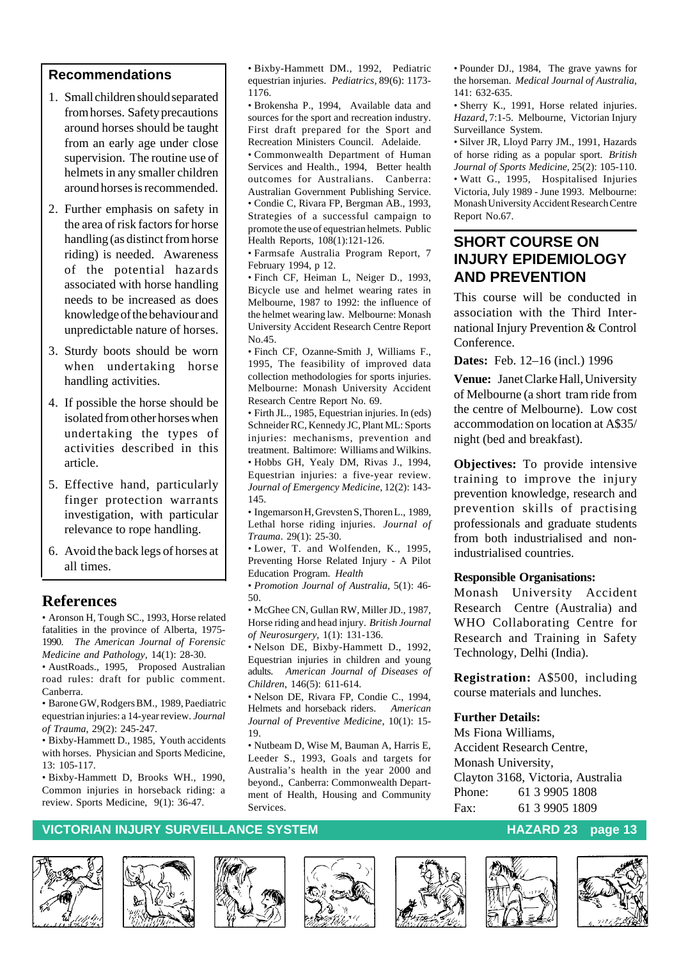#### **Recommendations**

- 1. Small children should separated from horses. Safety precautions around horses should be taught from an early age under close supervision. The routine use of helmets in any smaller children around horses is recommended.
- 2. Further emphasis on safety in the area of risk factors for horse handling (as distinct from horse riding) is needed. Awareness of the potential hazards associated with horse handling needs to be increased as does knowledge of the behaviour and unpredictable nature of horses.
- 3. Sturdy boots should be worn when undertaking horse handling activities.
- 4. If possible the horse should be isolated from other horses when undertaking the types of activities described in this article.
- 5. Effective hand, particularly finger protection warrants investigation, with particular relevance to rope handling.
- 6. Avoid the back legs of horses at all times.

#### **References**

• Aronson H, Tough SC., 1993, Horse related fatalities in the province of Alberta, 1975- 1990. *The American Journal of Forensic Medicine and Pathology,* 14(1): 28-30.

• AustRoads., 1995, Proposed Australian road rules: draft for public comment. Canberra.

• Barone GW, Rodgers BM., 1989, Paediatric equestrian injuries: a 14-year review. *Journal of Trauma*, 29(2): 245-247.

• Bixby-Hammett D., 1985, Youth accidents with horses. Physician and Sports Medicine,  $13: 105 - 117$ 

• Bixby-Hammett D, Brooks WH., 1990, Common injuries in horseback riding: a review. Sports Medicine, 9(1): 36-47.

• Bixby-Hammett DM., 1992, Pediatric equestrian injuries. *Pediatrics,* 89(6): 1173- 1176.

• Brokensha P., 1994, Available data and sources for the sport and recreation industry. First draft prepared for the Sport and Recreation Ministers Council. Adelaide.

• Commonwealth Department of Human Services and Health., 1994, Better health outcomes for Australians. Canberra: Australian Government Publishing Service. • Condie C, Rivara FP, Bergman AB., 1993,

Strategies of a successful campaign to promote the use of equestrian helmets. Public Health Reports, 108(1):121-126.

• Farmsafe Australia Program Report, 7 February 1994, p 12.

• Finch CF, Heiman L, Neiger D., 1993, Bicycle use and helmet wearing rates in Melbourne, 1987 to 1992: the influence of the helmet wearing law. Melbourne: Monash University Accident Research Centre Report No.45.

• Finch CF, Ozanne-Smith J, Williams F., 1995, The feasibility of improved data collection methodologies for sports injuries. Melbourne: Monash University Accident Research Centre Report No. 69.

• Firth JL., 1985, Equestrian injuries. In (eds) Schneider RC, Kennedy JC, Plant ML: Sports injuries: mechanisms, prevention and treatment. Baltimore: Williams and Wilkins. • Hobbs GH, Yealy DM, Rivas J., 1994, Equestrian injuries: a five-year review. *Journal of Emergency Medicine,* 12(2): 143- 145.

• Ingemarson H, Grevsten S, Thoren L., 1989, Lethal horse riding injuries. *Journal of Trauma*. 29(1): 25-30.

• Lower, T. and Wolfenden, K., 1995, Preventing Horse Related Injury - A Pilot Education Program. *Health*

• *Promotion Journal of Australia,* 5(1): 46- 50.

• McGhee CN, Gullan RW, Miller JD., 1987, Horse riding and head injury. *British Journal of Neurosurgery,* 1(1): 131-136.

• Nelson DE, Bixby-Hammett D., 1992, Equestrian injuries in children and young adults. *American Journal of Diseases of Children*, 146(5): 611-614.

• Nelson DE, Rivara FP, Condie C., 1994, Helmets and horseback riders. *American Journal of Preventive Medicine*, 10(1): 15- 19.

• Nutbeam D, Wise M, Bauman A, Harris E, Leeder S., 1993, Goals and targets for Australia's health in the year 2000 and beyond., Canberra: Commonwealth Department of Health, Housing and Community Services.

• Pounder DJ., 1984, The grave yawns for the horseman. *Medical Journal of Australia,*  $141.632-635$ 

• Sherry K., 1991, Horse related injuries. *Hazard,* 7:1-5. Melbourne, Victorian Injury Surveillance System.

• Silver JR, Lloyd Parry JM., 1991, Hazards of horse riding as a popular sport. *British Journal of Sports Medicine,* 25(2): 105-110. • Watt G., 1995, Hospitalised Injuries Victoria, July 1989 - June 1993. Melbourne: Monash University Accident Research Centre Report No.67.

### **SHORT COURSE ON INJURY EPIDEMIOLOGY AND PREVENTION**

This course will be conducted in association with the Third International Injury Prevention & Control Conference.

**Dates:** Feb. 12–16 (incl.) 1996

**Venue:** Janet Clarke Hall, University of Melbourne (a short tram ride from the centre of Melbourne). Low cost accommodation on location at A\$35/ night (bed and breakfast).

**Objectives:** To provide intensive training to improve the injury prevention knowledge, research and prevention skills of practising professionals and graduate students from both industrialised and nonindustrialised countries.

#### **Responsible Organisations:**

Monash University Accident Research Centre (Australia) and WHO Collaborating Centre for Research and Training in Safety Technology, Delhi (India).

**Registration:** A\$500, including course materials and lunches.

#### **Further Details:**

Ms Fiona Williams, Accident Research Centre, Monash University, Clayton 3168, Victoria, Australia Phone: 61 3 9905 1808 Fax: 61 3 9905 1809













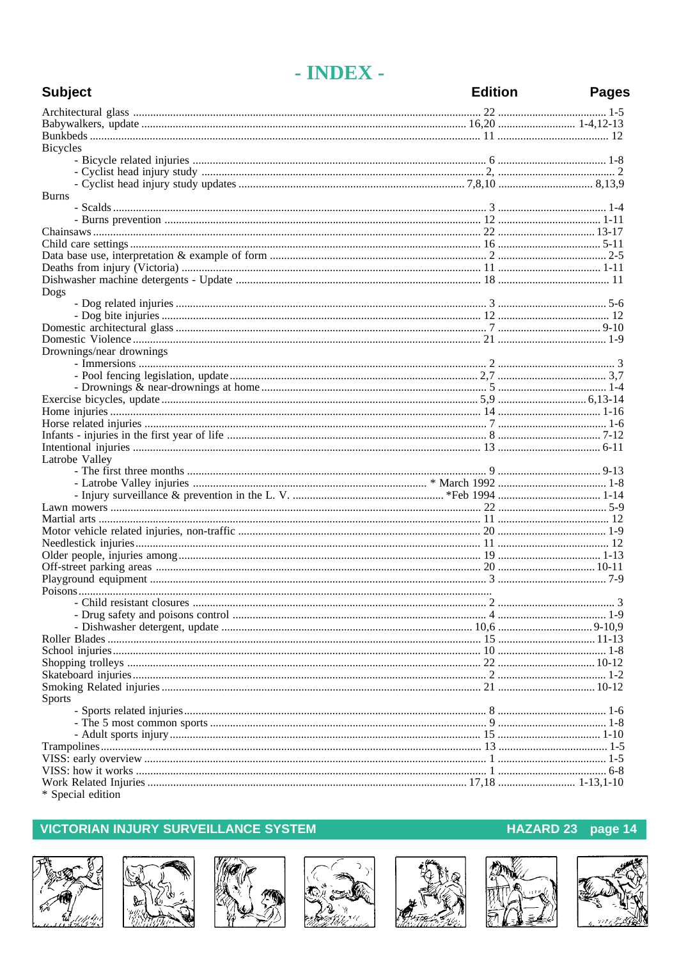# - INDEX -

| <b>Subject</b>           | <b>Edition</b> | <b>Pages</b> |
|--------------------------|----------------|--------------|
|                          |                |              |
|                          |                |              |
|                          |                |              |
| <b>Bicycles</b>          |                |              |
|                          |                |              |
|                          |                |              |
|                          |                |              |
| <b>Burns</b>             |                |              |
|                          |                |              |
|                          |                |              |
|                          |                |              |
|                          |                |              |
|                          |                |              |
|                          |                |              |
|                          |                |              |
| Dogs                     |                |              |
|                          |                |              |
|                          |                |              |
|                          |                |              |
|                          |                |              |
| Drownings/near drownings |                |              |
|                          |                |              |
|                          |                |              |
|                          |                |              |
|                          |                |              |
|                          |                |              |
|                          |                |              |
|                          |                |              |
|                          |                |              |
| Latrobe Valley           |                |              |
|                          |                |              |
|                          |                |              |
|                          |                |              |
|                          |                |              |
|                          |                |              |
|                          |                |              |
|                          |                |              |
|                          |                |              |
|                          |                |              |
|                          |                |              |
|                          |                |              |
|                          |                |              |
|                          |                |              |
|                          |                |              |
|                          |                |              |
|                          |                |              |
|                          |                |              |
|                          |                |              |
| <b>Sports</b>            |                |              |
|                          |                |              |
|                          |                |              |
|                          |                |              |
|                          |                |              |
|                          |                |              |
|                          |                |              |
|                          |                |              |

#### \* Special edition

## **VICTORIAN INJURY SURVEILLANCE SYSTEM**















# HAZARD 23 page 14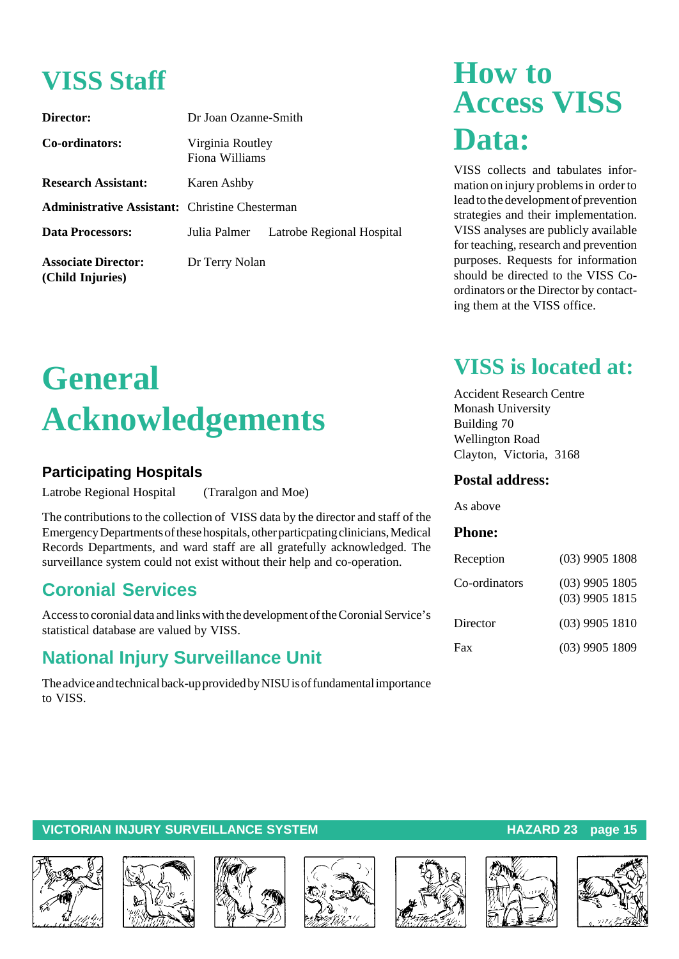# **VISS Staff**

| Director:                                             | Dr Joan Ozanne-Smith               |                           |  |
|-------------------------------------------------------|------------------------------------|---------------------------|--|
| Co-ordinators:                                        | Virginia Routley<br>Fiona Williams |                           |  |
| <b>Research Assistant:</b>                            | Karen Ashby                        |                           |  |
| <b>Administrative Assistant:</b> Christine Chesterman |                                    |                           |  |
| <b>Data Processors:</b>                               | Julia Palmer                       | Latrobe Regional Hospital |  |
| <b>Associate Director:</b><br>(Child Injuries)        | Dr Terry Nolan                     |                           |  |

# **General Acknowledgements**

## **Participating Hospitals**

Latrobe Regional Hospital (Traralgon and Moe)

The contributions to the collection of VISS data by the director and staff of the Emergency Departments of these hospitals, other particpating clinicians, Medical Records Departments, and ward staff are all gratefully acknowledged. The surveillance system could not exist without their help and co-operation.

# **Coronial Services**

Access to coronial data and links with the development of the Coronial Service's statistical database are valued by VISS.

# **National Injury Surveillance Unit**

The advice and technical back-up provided by NISU is of fundamental importance to VISS.

# **How to Access VISS Data:**

VISS collects and tabulates information on injury problems in order to lead to the development of prevention strategies and their implementation. VISS analyses are publicly available for teaching, research and prevention purposes. Requests for information should be directed to the VISS Coordinators or the Director by contacting them at the VISS office.

# **VISS is located at:**

Accident Research Centre Monash University Building 70 Wellington Road Clayton, Victoria, 3168

#### **Postal address:**

As above

#### **Phone:**

| Reception     | $(03)$ 9905 1808                     |
|---------------|--------------------------------------|
| Co-ordinators | $(03)$ 9905 1805<br>$(03)$ 9905 1815 |
| Director      | $(03)$ 9905 1810                     |
| Fax           | $(03)$ 9905 1809                     |